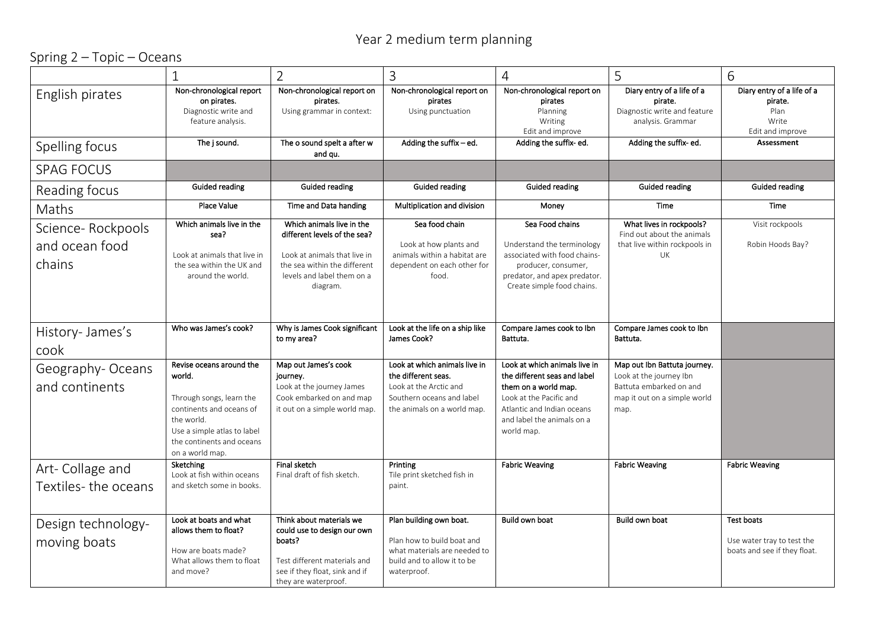## Year 2 medium term planning

## Spring 2 – Topic – Oceans

|                                               |                                                                                                                                                                                         | 2                                                                                                                                                                   | 3                                                                                                                                          | $\overline{4}$                                                                                                                                                                             | 5                                                                                                                          | 6                                                                          |
|-----------------------------------------------|-----------------------------------------------------------------------------------------------------------------------------------------------------------------------------------------|---------------------------------------------------------------------------------------------------------------------------------------------------------------------|--------------------------------------------------------------------------------------------------------------------------------------------|--------------------------------------------------------------------------------------------------------------------------------------------------------------------------------------------|----------------------------------------------------------------------------------------------------------------------------|----------------------------------------------------------------------------|
| English pirates                               | Non-chronological report<br>on pirates.<br>Diagnostic write and<br>feature analysis.                                                                                                    | Non-chronological report on<br>pirates.<br>Using grammar in context:                                                                                                | Non-chronological report on<br>pirates<br>Using punctuation                                                                                | Non-chronological report on<br>pirates<br>Planning<br>Writing<br>Edit and improve                                                                                                          | Diary entry of a life of a<br>pirate.<br>Diagnostic write and feature<br>analysis. Grammar                                 | Diary entry of a life of a<br>pirate.<br>Plan<br>Write<br>Edit and improve |
| Spelling focus                                | The j sound.                                                                                                                                                                            | The o sound spelt a after w<br>and qu.                                                                                                                              | Adding the suffix - ed.                                                                                                                    | Adding the suffix-ed.                                                                                                                                                                      | Adding the suffix-ed.                                                                                                      | <b>Assessment</b>                                                          |
| <b>SPAG FOCUS</b>                             |                                                                                                                                                                                         |                                                                                                                                                                     |                                                                                                                                            |                                                                                                                                                                                            |                                                                                                                            |                                                                            |
| Reading focus                                 | Guided reading                                                                                                                                                                          | Guided reading                                                                                                                                                      | <b>Guided reading</b>                                                                                                                      | Guided reading                                                                                                                                                                             | <b>Guided reading</b>                                                                                                      | Guided reading                                                             |
| Maths                                         | Place Value                                                                                                                                                                             | Time and Data handing                                                                                                                                               | Multiplication and division                                                                                                                | Money                                                                                                                                                                                      | Time                                                                                                                       | Time                                                                       |
| Science-Rockpools<br>and ocean food<br>chains | Which animals live in the<br>sea?<br>Look at animals that live in<br>the sea within the UK and<br>around the world.                                                                     | Which animals live in the<br>different levels of the sea?<br>Look at animals that live in<br>the sea within the different<br>levels and label them on a<br>diagram. | Sea food chain<br>Look at how plants and<br>animals within a habitat are<br>dependent on each other for<br>food.                           | Sea Food chains<br>Understand the terminology<br>associated with food chains-<br>producer, consumer,<br>predator, and apex predator.<br>Create simple food chains.                         | What lives in rockpools?<br>Find out about the animals<br>that live within rockpools in<br>UK                              | Visit rockpools<br>Robin Hoods Bay?                                        |
| History- James's<br>cook                      | Who was James's cook?                                                                                                                                                                   | Why is James Cook significant<br>to my area?                                                                                                                        | Look at the life on a ship like<br>James Cook?                                                                                             | Compare James cook to Ibn<br>Battuta.                                                                                                                                                      | Compare James cook to Ibn<br>Battuta.                                                                                      |                                                                            |
| Geography-Oceans<br>and continents            | Revise oceans around the<br>world.<br>Through songs, learn the<br>continents and oceans of<br>the world.<br>Use a simple atlas to label<br>the continents and oceans<br>on a world map. | Map out James's cook<br>journey.<br>Look at the journey James<br>Cook embarked on and map<br>it out on a simple world map.                                          | Look at which animals live in<br>the different seas.<br>Look at the Arctic and<br>Southern oceans and label<br>the animals on a world map. | Look at which animals live in<br>the different seas and label<br>them on a world map.<br>Look at the Pacific and<br>Atlantic and Indian oceans<br>and label the animals on a<br>world map. | Map out Ibn Battuta journey.<br>Look at the journey Ibn<br>Battuta embarked on and<br>map it out on a simple world<br>map. |                                                                            |
| Art-Collage and<br>Textiles-the oceans        | Sketching<br>Look at fish within oceans<br>and sketch some in books.                                                                                                                    | Final sketch<br>Final draft of fish sketch.                                                                                                                         | Printing<br>Tile print sketched fish in<br>paint.                                                                                          | <b>Fabric Weaving</b>                                                                                                                                                                      | <b>Fabric Weaving</b>                                                                                                      | <b>Fabric Weaving</b>                                                      |
| Design technology-<br>moving boats            | Look at boats and what<br>allows them to float?<br>How are boats made?<br>What allows them to float<br>and move?                                                                        | Think about materials we<br>could use to design our own<br>boats?<br>Test different materials and<br>see if they float, sink and if<br>they are waterproof.         | Plan building own boat.<br>Plan how to build boat and<br>what materials are needed to<br>build and to allow it to be<br>waterproof.        | Build own boat                                                                                                                                                                             | Build own boat                                                                                                             | Test boats<br>Use water tray to test the<br>boats and see if they float.   |